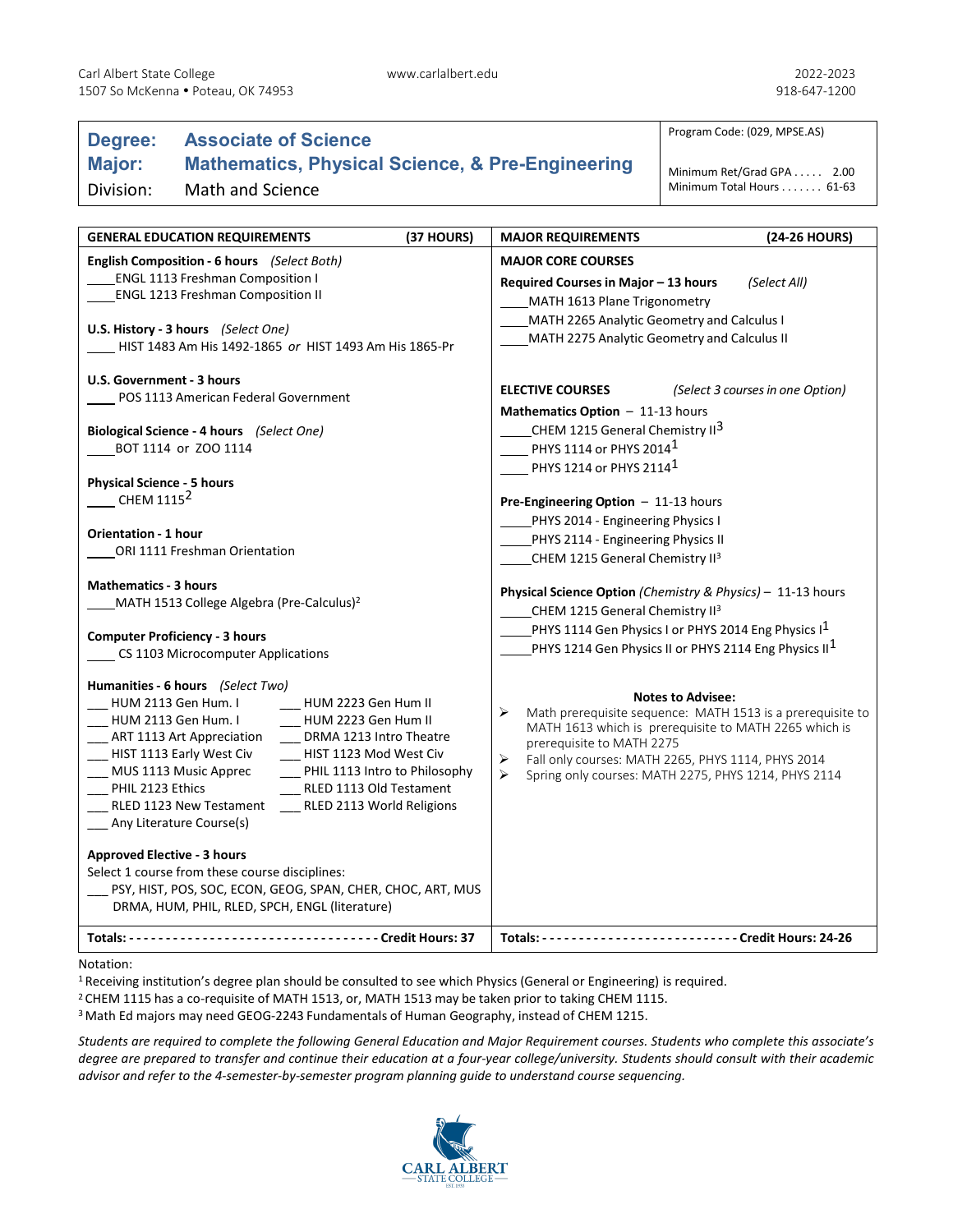## **Degree: Associate of Science Major: Mathematics, Physical Science, & Pre-Engineering** Division: Math and Science

Program Code: (029, MPSE.AS)

Minimum Ret/Grad GPA . . . . . 2.00 Minimum Total Hours . . . . . . . 61-63

| (37 HOURS)<br><b>GENERAL EDUCATION REQUIREMENTS</b>                                                                                                                                                                                                                                                                                                                                                                                       | <b>MAJOR REQUIREMENTS</b><br>(24-26 HOURS)                                                                                                                                                                                                                                                                |  |
|-------------------------------------------------------------------------------------------------------------------------------------------------------------------------------------------------------------------------------------------------------------------------------------------------------------------------------------------------------------------------------------------------------------------------------------------|-----------------------------------------------------------------------------------------------------------------------------------------------------------------------------------------------------------------------------------------------------------------------------------------------------------|--|
| English Composition - 6 hours (Select Both)<br><b>ENGL 1113 Freshman Composition I</b><br><b>ENGL 1213 Freshman Composition II</b><br>U.S. History - 3 hours (Select One)<br>HIST 1483 Am His 1492-1865 or HIST 1493 Am His 1865-Pr                                                                                                                                                                                                       | <b>MAJOR CORE COURSES</b><br>Required Courses in Major - 13 hours<br>(Select All)<br>MATH 1613 Plane Trigonometry<br>MATH 2265 Analytic Geometry and Calculus I<br>MATH 2275 Analytic Geometry and Calculus II                                                                                            |  |
| U.S. Government - 3 hours<br>POS 1113 American Federal Government                                                                                                                                                                                                                                                                                                                                                                         | <b>ELECTIVE COURSES</b><br>(Select 3 courses in one Option)<br><b>Mathematics Option</b> $-11-13$ hours                                                                                                                                                                                                   |  |
| Biological Science - 4 hours (Select One)<br>BOT 1114 or ZOO 1114                                                                                                                                                                                                                                                                                                                                                                         | CHEM 1215 General Chemistry II <sup>3</sup><br>PHYS 1114 or PHYS 2014 <sup>1</sup><br>PHYS 1214 or PHYS 21141                                                                                                                                                                                             |  |
| <b>Physical Science - 5 hours</b><br>CHEM 1115 <sup>2</sup><br><b>Orientation - 1 hour</b><br>ORI 1111 Freshman Orientation                                                                                                                                                                                                                                                                                                               | Pre-Engineering Option - 11-13 hours<br>PHYS 2014 - Engineering Physics I<br>PHYS 2114 - Engineering Physics II<br>CHEM 1215 General Chemistry II3                                                                                                                                                        |  |
| <b>Mathematics - 3 hours</b><br>MATH 1513 College Algebra (Pre-Calculus) <sup>2</sup><br><b>Computer Proficiency - 3 hours</b><br>CS 1103 Microcomputer Applications                                                                                                                                                                                                                                                                      | Physical Science Option (Chemistry & Physics) - 11-13 hours<br>CHEM 1215 General Chemistry II <sup>3</sup><br>PHYS 1114 Gen Physics I or PHYS 2014 Eng Physics I <sup>1</sup><br>PHYS 1214 Gen Physics II or PHYS 2114 Eng Physics II <sup>1</sup>                                                        |  |
| Humanities - 6 hours (Select Two)<br>HUM 2113 Gen Hum. I<br>HUM 2223 Gen Hum II<br>HUM 2113 Gen Hum. I<br>HUM 2223 Gen Hum II<br>_ART 1113 Art Appreciation<br>DRMA 1213 Intro Theatre<br>HIST 1113 Early West Civ<br>HIST 1123 Mod West Civ<br>MUS 1113 Music Apprec<br>PHIL 1113 Intro to Philosophy<br>RLED 1113 Old Testament<br>PHIL 2123 Ethics<br>RLED 1123 New Testament<br>RLED 2113 World Religions<br>Any Literature Course(s) | <b>Notes to Advisee:</b><br>➤<br>Math prerequisite sequence: MATH 1513 is a prerequisite to<br>MATH 1613 which is prerequisite to MATH 2265 which is<br>prerequisite to MATH 2275<br>Fall only courses: MATH 2265, PHYS 1114, PHYS 2014<br>➤<br>Spring only courses: MATH 2275, PHYS 1214, PHYS 2114<br>⋗ |  |
| <b>Approved Elective - 3 hours</b><br>Select 1 course from these course disciplines:<br>PSY, HIST, POS, SOC, ECON, GEOG, SPAN, CHER, CHOC, ART, MUS<br>DRMA, HUM, PHIL, RLED, SPCH, ENGL (literature)                                                                                                                                                                                                                                     |                                                                                                                                                                                                                                                                                                           |  |
|                                                                                                                                                                                                                                                                                                                                                                                                                                           |                                                                                                                                                                                                                                                                                                           |  |

## Notation:

<sup>1</sup> Receiving institution's degree plan should be consulted to see which Physics (General or Engineering) is required.

<sup>2</sup> CHEM 1115 has a co-requisite of MATH 1513, or, MATH 1513 may be taken prior to taking CHEM 1115.

<sup>3</sup> Math Ed majors may need GEOG-2243 Fundamentals of Human Geography, instead of CHEM 1215.

*Students are required to complete the following General Education and Major Requirement courses. Students who complete this associate's degree are prepared to transfer and continue their education at a four-year college/university. Students should consult with their academic advisor and refer to the 4-semester-by-semester program planning guide to understand course sequencing.*